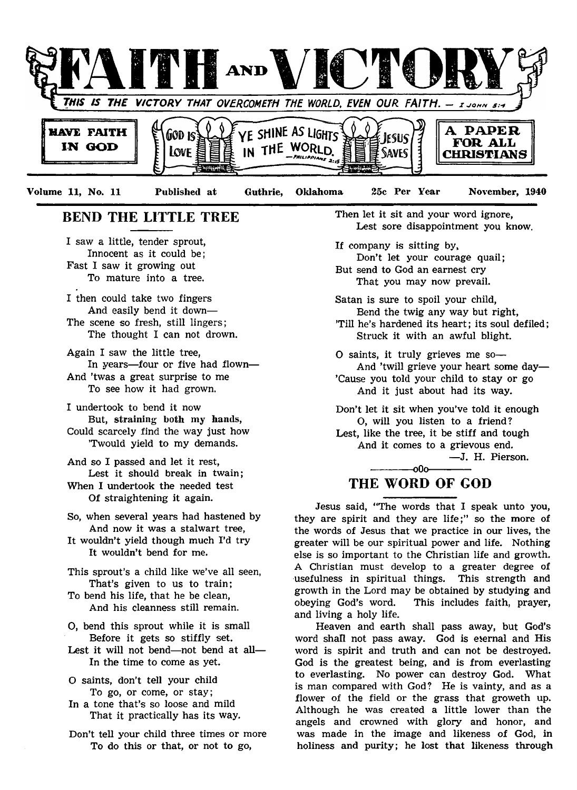

Volume 11, No. 11 Published at Guthrie, Oklahoma 25c Per Year November, 1940

# BEND THE LITTLE TREE

I saw a little, tender sprout, Innocent as it could be; Fast I saw it growing out To mature into a tree.

- I then could take two fingers And easily bend it down— The scene so fresh, still lingers; The thought I can not drown.
- Again I saw the little tree, In years—four or five had flown— And 'twas a great surprise to me To see how it had grown.
- I undertook to bend it now But, straining both my hands, Could scarcely find the way just how
	- 'Twould yield to my demands.
- And so I passed and let it rest, Lest it should break in twain; When I undertook the needed test Of straightening it again.
- So, when several years had hastened by And now it was a stalwart tree,
- It wouldn't yield though much I'd try It wouldn't bend for me.
- This sprout's a child like we've all seen, That's given to us to train;
- To bend his life, that he be clean, And his cleanness still remain.
- O, bend this sprout while it is small Before it gets so stiffly set.
- Lest it will not bend— not bend at all— In the time to come as yet.
- O saints, don't tell your child To go, or come, or stay;
- In a tone that's so loose and mild That it practically has its way.
- Don't tell your child three times or more To do this or that, or not to go,

Then let it sit and your word ignore, Lest sore disappointment you know.

If company is sitting by, Don't let your courage quail; But send to God an earnest cry That you may now prevail.

Satan is sure to spoil your child, Bend the twig any way but right, 'Till he's hardened its heart; its soul defiled; Struck it with an awful blight.

0 saints, it truly grieves me so— And 'twill grieve your heart some day— 'Cause you told your child to stay or go And it just about had its way.

Don't let it sit when you've told it enough O, will you listen to a friend? Lest, like the tree, it be stiff and tough And it comes to a grievous end.

— J. H. Pierson.

# $-000-$ THE WORD OF GOD

Jesus said, "The words that I speak unto you, they are spirit and they are life;" so the more of the words of Jesus that we practice in our lives, the greater will be our spiritual power and life. Nothing else is so important to the Christian life and growth. A Christian must develop to a greater degree of usefulness in spiritual things. This strength and growth in the Lord may be obtained by studying and obeying God's word. This includes faith, prayer, and living a holy life.

Heaven and earth shall pass away, but God's word shall not pass away. God is eternal and His word is spirit and truth and can not be destroyed. God is the greatest being, and is from everlasting to everlasting. No power can destroy God. What is man compared with God? He is vainty, and as a flower of the field or the grass that groweth up. Although he was created a little lower than the angels and crowned with glory and honor, and was made in the image and likeness of God, in holiness and purity; he lost that likeness through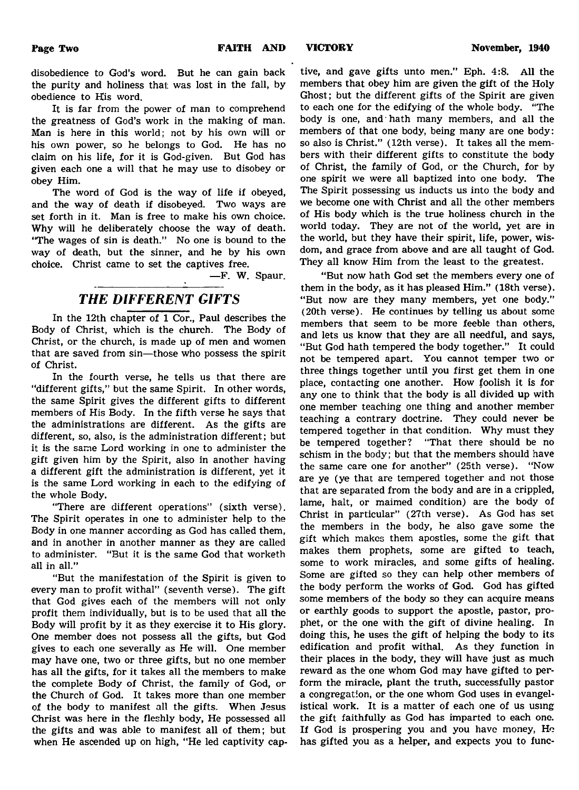disobedience to God's word. But he can gain back the purity and holiness that; was lost in the fall, by obedience to His word.

It is far from the power of man to comprehend the greatness of God's work in the making of man. Man is here in this world; not by his own will or his own power, so he belongs to God. He has no claim on his life, for it is God-given. But God has given each one a will that he may use to disobey or obey Him.

The word of God is the way of life if obeyed, and the way of death if disobeyed. Two ways are set forth in it. Man is free to make his own choice. Why will he deliberately choose the way of death. "The wages of sin is death." No one is bound to the way of death, but the sinner, and he by his own choice. Christ came to set the captives free.

—F. W. Spaur.

# *THE DIFFERENT GIFTS*

In the 12th chapter of 1 Cor., Paul describes the Body of Christ, which is the church. The Body of Christ, or the church, is made up of men and women that are saved from sin—those who possess the spirit of Christ.

In the fourth verse, he tells us that there are "different gifts," but the same Spirit. In other words, the same Spirit gives the different gifts to different members of His Body. In the fifth verse he says that the administrations are different. As the gifts are different, so, also, is the administration different; but it is the same Lord working in one to administer the gift given him by the Spirit, also in another having a different gift the administration is different, yet it is the same Lord working in each to the edifying of the whole Body.

"There are different operations" (sixth verse). The Spirit operates in one to administer help to the Body in one manner according as God has called them, and in another in another manner as they are called to administer. "But it is the same God that worketh all in all."

" But the manifestation of the Spirit is given to every man to profit withal" (seventh verse). The gift that God gives each of the members will not only profit them individually, but is to be used that all the Body will profit by it as they exercise it to His glory. One member does not possess all the gifts, but God gives to each one severally as He will. One member may have one, two or three gifts, but no one member has all the gifts, for it takes all the members to make the complete Body of Christ, the family of God, or the Church of God. It takes more than one member of the body to manifest all the gifts. When Jesus Christ was here in the fleshly body, He possessed all the gifts and was able to manifest all of them; but when He ascended up on high, "He led captivity cap-

tive, and gave gifts unto men." Eph. 4:8. All the members that obey him are given the gift of the Holy Ghost; but the different gifts of the Spirit are given to each one for the edifying of the whole body. "The body is one, and hath many members, and all the members of that one body, being many are one body: so also is Christ." (12th verse). It takes all the members with their different gifts to constitute the body of Christ, the family of God, or the Church, for by one spirit we were all baptized into one body. The The Spirit possessing us inducts us into the body and we become one with Christ and all the other members of His body which is the true holiness church in the world today. They are not of the world, yet are in the world, but they have their spirit, life, power, wisdom, and grace from above and are all taught of God. They all know Him from the least to the greatest.

" But now hath God set the members every one of them in the body, as it has pleased Him." (18th verse). "But now are they many members, yet one body." (20th verse). He continues by telling us about some members that seem to be more feeble than others, and lets us know that they are all needful, and says, "But God hath tempered the body together." It could not be tempered apart. You cannot temper two or three things together until you first get them in one place, contacting one another. How foolish it is for any one to think that the body is all divided up with one member teaching one thing and another member teaching a contrary doctrine. They could never be tempered together in that condition. Why must they be tempered together? "That there should be no schism in the body; but that the members should have the same care one for another" (25th verse). "Now are ye (ye that are tempered together and not those that are separated from the body and are in a crippled, lame, halt, or maimed condition) are the body of Christ in particular" (27th verse). As God has set the members in the body, he also gave some the gift which makes them apostles, some the gift that makes them prophets, some are gifted to teach, some to work miracles, and some gifts of healing. Some are gifted so they can help other members of the body perform the works of God. God has gifted some members of the body so they can acquire means or earthly goods to support the apostle, pastor, prophet, or the one with the gift of divine healing. In doing this, he uses the gift of helping the body to its edification and profit withal. As they function in their places in the body, they will have just as much reward as the one whom God may have gifted to perform the miracle, plant the truth, successfully pastor a congregation, or the one whom God uses in evangelistical work. It is a matter of each one of us using the gift faithfully as God has imparted to each one. If God is prospering you and you have money, He has gifted you as a helper, and expects you to func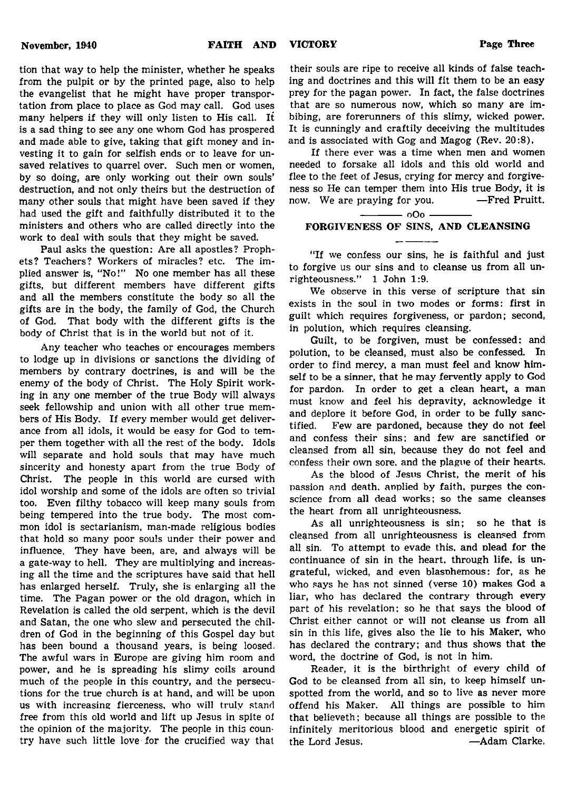tion that way to help the minister, whether he speaks from the pulpit or by the printed page, also to help the evangelist that he might have proper transportation from place to place as God may call. God uses many helpers if they will only listen to His call. It is a sad thing to see any one whom God has prospered and made able to give, taking that gift money and investing it to gain for selfish ends or to leave for unsaved relatives to quarrel over. Such men or women, by so doing, are only working out their own souls' destruction, and not only theirs but the destruction of many other souls that might have been saved if they had used the gift and faithfully distributed it to the ministers and others who are called directly into the work to deal with souls that they might be saved.

Paul asks the question: Are all apostles? Prophets? Teachers? Workers of miracles? etc. The implied answer is, "No!" No one member has all these gifts, but different members have different gifts and all the members constitute the body so all the gifts are in the body, the family of God, the Church of God. That body with the different gifts is the body of Christ that is in the world but not of it.

Any teacher who teaches or encourages members to lodge up in divisions or sanctions the dividing of members by contrary doctrines, is and will be the enemy of the body of Christ. The Holy Spirit working in any one member of the true Body will always seek fellowship and union with all other true members of His Body. If every member would get deliverance from all idols, it would be easy for God to temper them together with all the rest of the body. Idols will separate and hold souls that may have much sincerity and honesty apart from the true Body of Christ. The people in this world are cursed with idol worship and some of the idols are often so trivial too. Even filthy tobacco will keep many souls from being tempered into the true body. The most common idol is sectarianism, man-made religious bodies that hold so many poor souls under their power and influence. They have been, are, and always will be a gate-way to hell. They are multiplying and increasing all the time and the scriptures have said that hell has enlarged herself. Truly, she is enlarging all the time. The Pagan power or the old dragon, which in Revelation is called the old serpent, which is the devil and Satan, the one who slew and persecuted the children of God in the beginning of this Gospel day but has been bound a thousand years, is being loosed. The awful wars in Europe are giving him room and power, and he is spreading his slimy coils around much of the people in this country, and the persecutions for the true church is at hand, and will be upon us with increasing fierceness, who will truly stand free from this old world and lift up Jesus in spite oi the opinion of the majority. The people in this country have such little love for the crucified way that

their souls are ripe to receive all kinds of false teaching and doctrines and this will fit them to be an easy prey for the pagan power. In fact, the false doctrines that are so numerous now, which so many are imbibing, are forerunners of this slimy, wicked power. It is cunningly and craftily deceiving the multitudes and is associated with Gog and Magog (Rev. 20:8).

If there ever was a time when men and women needed to forsake all idols and this old world and flee to the feet of Jesus, crying for mercy and forgiveness so He can temper them into His true Body, it is now. We are praying for you. — Fred Pruitt.

 $-000 -$ 

# FORGIVENESS OF SINS, AND CLEANSING

"If we confess our sins, he is faithful and just to forgive us our sins and to cleanse us from all unrighteousness." 1 John 1:9.

We observe in this verse of scripture that sin exists in the soul in two modes or forms: first in guilt which requires forgiveness, or pardon; second, in polution, which requires cleansing.

Guilt, to be forgiven, must be confessed: and polution, to be cleansed, must also be confessed. In order to find mercy, a man must feel and know himself to be a sinner, that he may fervently apply to God for pardon. In order to get a clean heart, a man must know and feel his depravity, acknowledge it and deplore it before God, in order to be fully sanctified. Few are pardoned, because they do not feel and confess their sins; and few are sanctified or cleansed from all sin, because they do not feel and confess their own sore, and the plague of their hearts.

As the blood of Jesus Christ, the merit of his passion and death, anplied by faith, purges the conscience from all dead works; so the same cleanses the heart from all unrighteousness.

As all unrighteousness is sin; so he that is cleansed from all unrighteousness is cleansed from all sin. To attempt to evade this, and plead for the continuance of sin in the heart, through life, is ungrateful, wicked, and even blasphemous: for, as he who says he has not sinned (verse 10) makes God a liar, who has declared the contrary through every part of his revelation; so he that says the blood of Christ either cannot or will not cleanse us from all sin in this life, gives also the lie to his Maker, who has declared the contrary; and thus shows that the word, the doctrine of God, is not in him.

Reader, it is the birthright of every child of God to be cleansed from all sin, to keep himself unspotted from the world, and so to live as never more offend his Maker. All things are possible to him that believeth; because all things are possible to the infinitely meritorious blood and energetic spirit of the Lord Jesus. — Adam Clarke.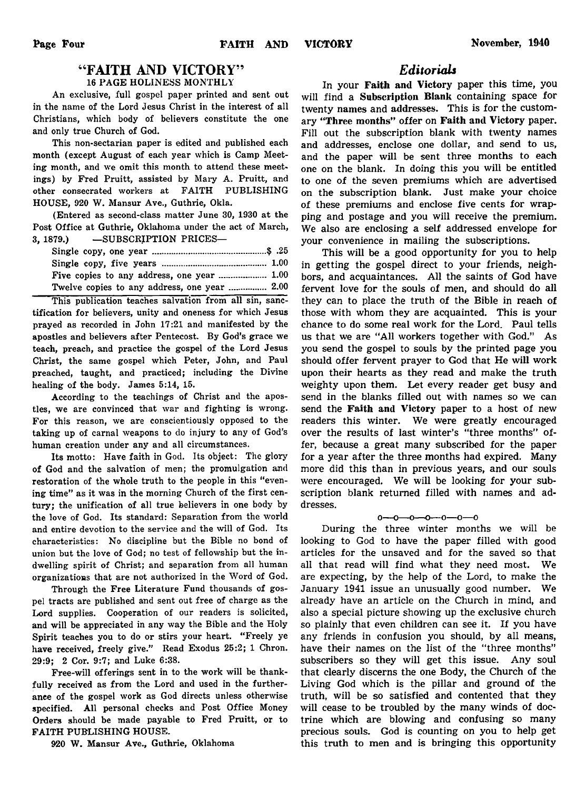# " FAITH AND VICTORY"

16 PAGE HOLINESS MONTHLY

An exclusive, full gospel paper printed and sent out in the name of the Lord Jesus Christ in the interest of all Christians, which body of believers constitute the one and only true Church of God.

This non-sectarian paper is edited and published each month (except August of each year which is Camp Meeting month, and we omit this month to attend these meetings) by Fred Pruitt, assisted by Mary A. Pruitt, and other consecrated workers at FAITH PUBLISHING HOUSE, 920 W. Mansur Ave., Guthrie, Okla.

(Entered as second-class matter June 30, 1930 at the Post Office at Guthrie, Oklahoma under the act of March, 3, 1879.) — SUBSCRIPTION PRICES—

| Five copies to any address, one year  1.00   |  |
|----------------------------------------------|--|
| Twelve copies to any address, one year  2.00 |  |

This publication teaches salvation from all sin, sanctification for believers, unity and oneness for which Jesus prayed as recorded in John 17:21 and manifested by the apostles and believers after Pentecost. By God's grace we teach, preach, and practice the gospel of the Lord Jesus Christ, the same gospel which Peter, John, and Paul preached, taught, and practiced; including the Divine healing of the body. James 5:14, 15.

According to the teachings of Christ and the apostles, we are convinced that war and fighting is wrong. For this reason, we are conscientiously opposed to the taking up of carnal weapons to do injury to any of God's human creation under any and all circumstances.

Its motto: Have faith in God. Its object: The glory of God and the salvation of men; the promulgation and restoration of the whole truth to the people in this "evening time" as it was in the morning Church of the first century; the unification of all true believers in one body by the love of God. Its standard: Separation from the world and entire devotion to the service and the will of God. Its characteristics: No discipline but the Bible no bond of union but the love of God; no test of fellowship but the indwelling spirit of Christ; and separation from all human organizations that are not authorized in the Word of God.

Through the Free Literature Fund thousands of gospel tracts are published and sent out free of charge as the Lord supplies. Cooperation of our readers is solicited, and will be appreciated in any way the Bible and the Holy Spirit teaches you to do or stirs your heart. "Freely ye have received, freely give." Read Exodus 25:2; 1 Chron. 29:9; 2 Cor. 9:7; and Luke 6:38.

Free-will offerings sent in to the work will be thankfully received as from the Lord and used in the furtherance of the gospel work as God directs unless otherwise specified. All personal checks and Post Office Money Orders should be made payable to Fred Pruitt, or to FAITH PUBLISHING HOUSE.

920 W. Mansur Ave., Guthrie, Oklahoma

# *Editorials*

In your Faith and Victory paper this time, you will find a Subscription Blank containing space for twenty names and addresses. This is for the customary "Three months" offer on Faith and Victory paper. Fill out the subscription blank with twenty names and addresses, enclose one dollar, and send to us, and the paper will be sent three months to each one on the blank. In doing this you will be entitled to one of the seven premiums which are advertised on the subscription blank. Just make your choice of these premiums and enclose five cents for wrapping and postage and you will receive the premium. We also are enclosing a self addressed envelope for your convenience in mailing the subscriptions.

This will be a good opportunity for you to help in getting the gospel direct to your friends, neighbors, and acquaintances. All the saints of God have fervent love for the souls of men, and should do all they can to place the truth of the Bible in reach of those with whom they are acquainted. This is your chance to do some real work for the Lord. Paul tells us that we are "All workers together with God." As you send the gospel to souls by the printed page you should offer fervent prayer to God that He will work upon their hearts as they read and make the truth weighty upon them. Let every reader get busy and send in the blanks filled out with names so we can send the Faith and Victory paper to a host of new readers this winter. We were greatly encouraged over the results of last winter's "three months" offer, because a great many subscribed for the paper for a year after the three months had expired. Many more did this than in previous years, and our souls were encouraged. We will be looking for your subscription blank returned filled with names and addresses.

## $0 - 0 - 0 - 0 - 0 - 0 - 0$

During the three winter months we will be looking to God to have the paper filled with good articles for the unsaved and for the saved so that all that read will find what they need most. We are expecting, by the help of the Lord, to make the January 1941 issue an unusually good number. We already have an article on the Church in mind, and also a special picture showing up the exclusive church so plainly that even children can see it. If you have any friends in confusion you should, by all means, have their names on the list of the "three months" subscribers so they will get this issue. Any soul that clearly discerns the one Body, the Church of the Living God which is the pillar and ground of the truth, will be so satisfied and contented that they will cease to be troubled by the many winds of doctrine which are blowing and confusing so many precious souls. God is counting on you to help get this truth to men and is bringing this opportunity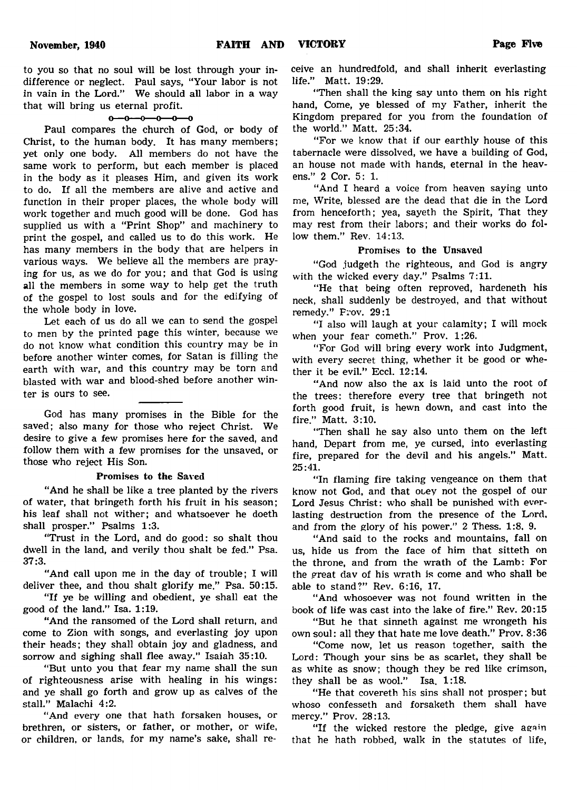to you so that no soul will be lost through your indifference or neglect. Paul says, "Your labor is not in vain in the Lord." We should all labor in a way that will bring us eternal profit.

## $0 - 0 - 0 - 0 - 0$

Paul compares the church of God, or body of Christ, to the human body. It has many members; yet only one body. All members do not have the same work to perform, but each member is placed in the body as it pleases Him, and given its work to do. If all the members are alive and active and function in their proper places, the whole body will work together and much good will be done. God has supplied us with a "Print Shop" and machinery to print the gospel, and called us to do this work. He has many members in the body that are helpers in various ways. We believe all the members are praying for us, as we do for you; and that God is using all the members in some way to help get the truth of the gospel to lost souls and for the edifying of the whole body in love.

Let each of us do all we can to send the gospel to men by the printed page this winter, because we do not know what condition this country may be in before another winter comes, for Satan is filling the earth with war, and this country may be torn and blasted with war and blood-shed before another winter is ours to see.

God has many promises in the Bible for the saved; also many for those who reject Christ. We desire to give a few promises here for the saved, and follow them with a few promises for the unsaved, or those who reject His Son.

#### Promises to the Saved

"And he shall be like a tree planted by the rivers of water, that bringeth forth his fruit in his season; his leaf shall not wither; and whatsoever he doeth shall prosper." Psalms 1:3.

"Trust in the Lord, and do good: so shalt thou dwell in the land, and verily thou shalt be fed." Psa. 37:3.

"And call upon me in the day of trouble; I will deliver thee, and thou shalt glorify me." Psa. 50:15.

"If ye be willing and obedient, ye shall eat the good of the land." Isa. 1:19.

"And the ransomed of the Lord shall return, and come to Zion with songs, and everlasting joy upon their heads; they shall obtain joy and gladness, and sorrow and sighing shall flee away." Isaiah 35:10.

" But unto you that fear my name shall the sun of righteousness arise with healing in his wings: and ye shall go forth and grow up as calves of the stall." Malachi 4:2.

"And every one that hath forsaken houses, or brethren, or sisters, or father, or mother, or wife, or children, or lands, for my name's sake, shall receive an hundredfold, and shall inherit everlasting life." Matt. 19:29.

"Then shall the king say unto them on his right hand, Come, ye blessed of my Father, inherit the Kingdom prepared for you from the foundation of the world." Matt. 25:34.

" For we know that if our earthly house of this tabernacle were dissolved, we have a building of God, an house not made with hands, eternal in the heavens." 2 Cor. 5: 1.

"And I heard a voice from heaven saying unto me, Write, blessed are the dead that die in the Lord from henceforth; yea, sayeth the Spirit, That they may rest from their labors; and their works do follow them." Rev. 14:13.

# Promises to the Unsaved

"God judgeth the righteous, and God is angry with the wicked every day." Psalms 7:11.

"He that being often reproved, hardeneth his neck, shall suddenly be destroyed, and that without remedy." Frov. 29:1

"I also will laugh at your calamity; I will mock when your fear cometh." Prov. 1:26.

"For God will bring every work into Judgment, with every secret thing, whether it be good or whether it be evil." Eccl. 12:14.

"And now also the ax is laid unto the root of the trees: therefore every tree that bringeth not forth good fruit, is hewn down, and cast into the fire." Matt. 3:10.

"Then shall he say also unto them on the left hand, Depart from me, ye cursed, into everlasting fire, prepared for the devil and his angels." Matt. 25:41.

"In flaming fire taking vengeance on them that know not God, and that otey not the gospel of our Lord Jesus Christ: who shall be punished with everlasting destruction from the presence of the Lord, and from the glory of his power." 2 Thess. 1:8. 9.

"And said to the rocks and mountains, fall on us, hide us from the face of him that sitteth on the throne, and from the wrath of the Lamb: For the great dav of his wrath is come and who shall be able to stand?" Rev. 6:16, 17.

"And whosoever was not found written in the book of life was cast into the lake of fire." Rev. 20:15

" But he that sinneth against me wrongeth his own soul: all they that hate me love death." Prov. 8:36

"Come now, let us reason together, saith the Lord: Though your sins be as scarlet, they shall be as white as snow; though they be red like crimson, they shall be as wool." Isa. 1:18.

"He that covereth his sins shall not prosper; but whoso confesseth and forsaketh them shall have mercy." Prov. 28:13.

"If the wicked restore the pledge, give again that he hath robbed, walk in the statutes of life,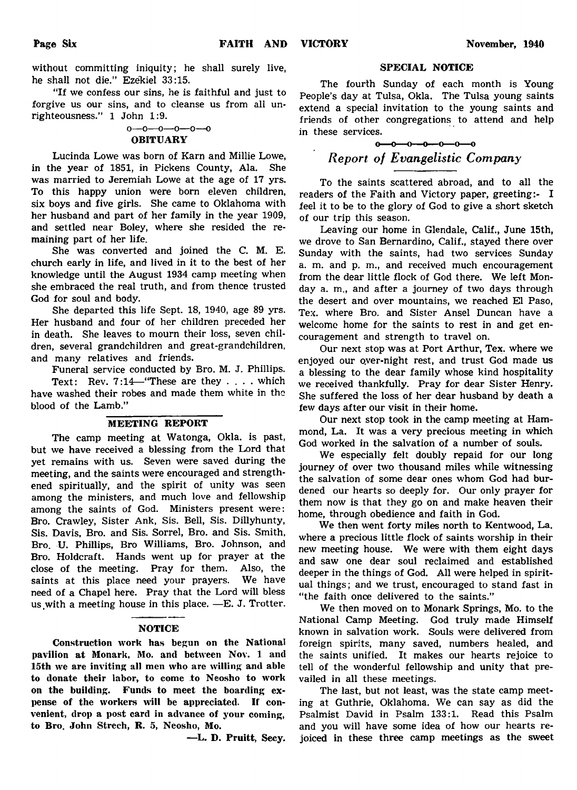without committing iniquity; he shall surely live, he shall not die." Ezekiel 33:15.

"If we confess our sins, he is faithful and just to forgive us our sins, and to cleanse us from all unrighteousness." 1 John 1:9.

# o— o— o— o— o— o

# **OBITUARY**

Lucinda Lowe was born of Karn and Millie Lowe, in the year of 1851, in Pickens County, Ala. She was married to Jeremiah Lowe at the age of 17 yrs. To this happy union were born eleven children, six boys and five girls. She came to Oklahoma with her husband and part of her family in the year 1909, and settled near Boley, where she resided the remaining part of her life.

She was converted and joined the C. M. E. church early in life, and lived in it to the best of her knowledge until the August 1934 camp meeting when she embraced the real truth, and from thence trusted God for soul and body.

She departed this life Sept. 18, 1940, age 89 yrs. Her husband and four of her children preceded her in death. She leaves to mourn their loss, seven children, several grandchildren and great-grandchildren, and many relatives and friends.

Funeral service conducted by Bro. M. J. Phillips.

Text: Rev. 7:14—"These are they . . . . which have washed their robes and made them white in the blood of the Lamb."

# MEETING REPORT

The camp meeting at Watonga, Okla. is past, but we have received a blessing from the Lord that yet remains with us. Seven were saved during the meeting, and the saints were encouraged and strengthened spiritually, and the spirit of unity was seen among the ministers, and much love and fellowship among the saints of God. Ministers present were: Bro. Crawley, Sister Ank, Sis. Bell, Sis. Dillyhunty, Sis. Davis, Bro. and Sis. Sorrel, Bro. and Sis. Smith, Bro. U. Phillips, Bro Williams, Bro. Johnson, and Bro. Holdcraft. Hands went up for prayer at the close of the meeting. Pray for them. Also, the saints at this place need your prayers. We have need of a Chapel here. Pray that the Lord will bless us with a meeting house in this place.  $-E$ . J. Trotter.

## NOTICE

Construction work has begun on the National pavilion at Monark, Mo. and between Nov. 1 and 15th we are inviting all men who are willing and able to donate their labor, to come to Neosho to work on the building. Funds to meet the boarding expense of the workers will be appreciated. If convenient, drop a post card in advance of your coming, to Bro. John Strech, R. 5, Neosho, Mo.

—L. D. Pruitt, Secy.

#### SPECIAL NOTICE

The fourth Sunday of each month is Young People's day at Tulsa, Okla. The Tulsa young saints extend a special invitation to the young saints and friends of other congregations to attend and help in these services.

# $-0$  -0 -0 -0 -0 -0 *Report of Evangelistic Company*

To the saints scattered abroad, and to all the readers of the Faith and Victory paper, greeting:- I feel it to be to the glory of God to give a short sketch of our trip this season.

Leaving our home in Glendale, Calif., June 15th, we drove to San Bernardino, Calif., stayed there over Sunday with the saints, had two services Sunday a. m. and p. m., and received much encouragement from the dear little flock of God there. We left Monday a. m., and after a journey of two days through the desert and over mountains, we reached El Paso, Tex. where Bro. and Sister Ansel Duncan have a welcome home for the saints to rest in and get encouragement and strength to travel on.

Our next stop was at Port Arthur, Tex. where we enjoyed our over-night rest, and trust God made us a blessing to the dear family whose kind hospitality we received thankfully. Pray for dear Sister Henry. She suffered the loss of her dear husband by death a few days after our visit in their home.

Our next stop took in the camp meeting at Hammond, La. It was a very precious meeting in which God worked in the salvation of a number of souls.

We especially felt doubly repaid for our long journey of over two thousand miles while witnessing the salvation of some dear ones whom God had burdened our hearts so deeply for. Our only prayer for them now is that they go on and make heaven their home, through obedience and faith in God.

We then went forty miles north to Kentwood, La. where a precious little flock of saints worship in their new meeting house. We were with them eight days and saw one dear soul reclaimed and established deeper in the things of God. All were helped in spiritual things; and we trust, encouraged to stand fast in "the faith once delivered to the saints."

We then moved on to Monark Springs, Mo. to the National Camp Meeting. God truly made Himself known in salvation work. Souls were delivered from foreign spirits, many saved, numbers healed, and the saints unified. It makes our hearts rejoice to tell of the wonderful fellowship and unity that prevailed in all these meetings.

The last, but not least, was the state camp meeting at Guthrie, Oklahoma. We can say as did the Psalmist David in Psalm 133:1. Read this Psalm and you will have some idea of how our hearts rejoiced in these three camp meetings as the sweet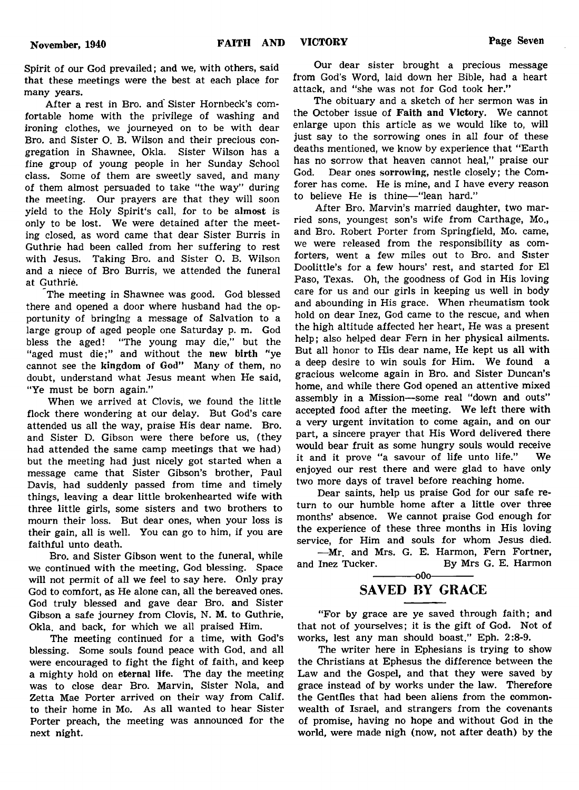Spirit of our God prevailed; and we, with others, said that these meetings were the best at each place for many years.

After a rest in Bro. and Sister Hornbeck's comfortable home with the privilege of washing and ironing clothes, we journeyed on to be with dear Bro. and Sister O. B. Wilson and their precious congregation in Shawnee, Okla. Sister Wilson has a fine group of young people in her Sunday School class. Some of them are sweetly saved, and many of them almost persuaded to take "the way" during the meeting. Our prayers are that they will soon yield to the Holy Spirit's call, for to be almost is only to be lost. We were detained after the meeting closed, as word came that dear Sister Burris in Guthrie had been called from her suffering to rest with Jesus. Taking Bro. and Sister O. B. Wilson and a niece of Bro Burris, we attended the funeral at Guthrie.

The meeting in Shawnee was good. God blessed there and opened a door where husband had the opportunity of bringing a message of Salvation to a large group of aged people one Saturday p. m. God bless the aged! "The young may die," but the "aged must die;" and without the new birth "ye cannot see the kingdom of God" Many of them, no doubt, understand what Jesus meant when He said, "Ye must be born again."

When we arrived at Clovis, we found the little flock there wondering at our delay. But God's care attended us all the way, praise His dear name. Bro. and Sister D. Gibson were there before us, (they had attended the same camp meetings that we had) but the meeting had just nicely got started when a message came that Sister Gibson's brother, Paul Davis, had suddenly passed from time and timely things, leaving a dear little brokenhearted wife with three little girls, some sisters and two brothers to mourn their loss. But dear ones, when your loss is their gain, all is well. You can go to him, if you are faithful unto death.

Bro. and Sister Gibson went to the funeral, while we continued with the meeting, God blessing. Space will not permit of all we feel to say here. Only pray God to comfort, as He alone can, all the bereaved ones. God truly blessed and gave dear Bro. and Sister Gibson a safe journey from Clovis, N. M. to Guthrie, Okla. and back, for which we all praised Him.

The meeting continued for a time, with God's blessing. Some souls found peace with God, and all were encouraged to fight the fight of faith, and keep a mighty hold on eternal life. The day the meeting was to close dear Bro. Marvin, Sister Nola, and Zetta Mae Porter arrived on their way from Calif, to their home in Mo. As all wanted to hear Sister Porter preach, the meeting was announced for the next night.

Our dear sister brought a precious message from God's Word, laid down her Bible, had a heart attack, and "she was not for God took her."

The obituary and a sketch of her sermon was in the October issue of Faith and Victory. We cannot enlarge upon this article as we would like to, will just say to the sorrowing ones in all four of these deaths mentioned, we know by experience that "Earth has no sorrow that heaven cannot heal," praise our God. Dear ones sorrowing, nestle closely; the Comforer has come. He is mine, and I have every reason to believe He is thine— "lean hard."

After Bro. Marvin's married daughter, two married sons, youngest son's wife from Carthage, Mo., and Bro. Robert Porter from Springfield, Mo. came, we were released from the responsibility as comforters, went a few miles out to Bro. and Sister Doolittle's for a few hours' rest, and started for El Paso, Texas. Oh, the goodness of God in His loving care for us and our girls in keeping us well in body and abounding in His grace. When rheumatism took hold on dear Inez, God came to the rescue, and when the high altitude affected her heart, He was a present help; also helped dear Fern in her physical ailments. But all honor to His dear name, He kept us all with a deep desire to win souls for Him. We found a gracious welcome again in Bro. and Sister Duncan's home, and while there God opened an attentive mixed assembly in a Mission— some real "down and outs" accepted food after the meeting. We left there with a very urgent invitation to come again, and on our part, a sincere prayer that His Word delivered there would bear fruit as some hungry souls would receive it and it prove "a savour of life unto life." We enjoyed our rest there and were glad to have only two more days of travel before reaching home.

Dear saints, help us praise God for our safe return to our humble home after a little over three months' absence. We cannot praise God enough for the experience of these three months in His loving service, for Him and souls for whom Jesus died.

— Mr. and Mrs. G. E. Harmon, Fern Fortner, and Inez Tucker. By Mrs G. E. Harmon  $-000-$ 

# SAVED BY GRACE

"For by grace are ye saved through faith; and that not of yourselves; it is the gift of God. Not of works, lest any man should boast." Eph. 2:8-9.

The writer here in Ephesians is trying to show the Christians at Ephesus the difference between the Law and the Gospel, and that they were saved by grace instead of by works under the law. Therefore the Gentiles that had been aliens from the commonwealth of Israel, and strangers from the covenants of promise, having no hope and without God in the world, were made nigh (now, not after death) by the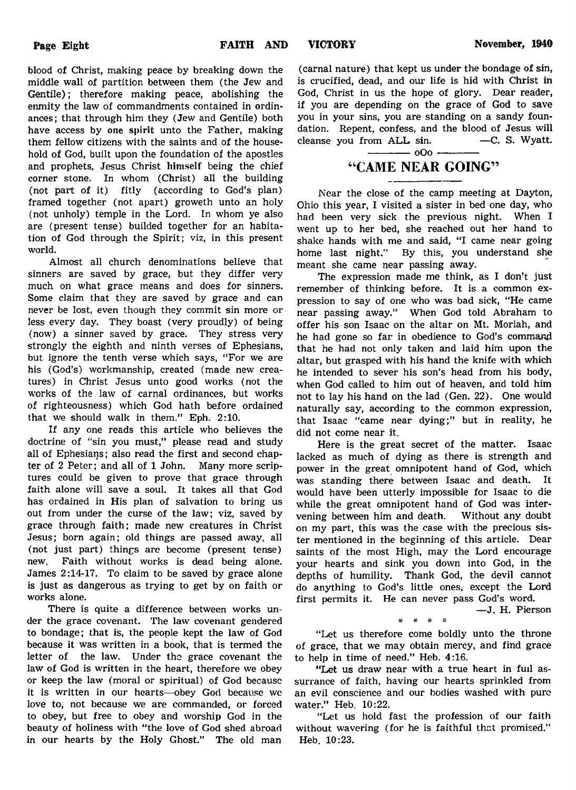blood of Christ, making peace by breaking down the middle wall of partition between them (the Jew and Gentile); therefore making peace, abolishing the enmity the law of commandments contained in ordinances; that through him they (Jew and Gentile) both have access by one spirit unto the Father, making them fellow citizens with the saints and of the household of God, built upon the foundation of the apostles and prophets, Jesus Christ himself being the chief corner stone. In whom (Christ) all the building (not part of it) fitly (according to God's plan) framed together (not apart) groweth unto an holy (not unholy) temple in the Lord. In whom ye also are (present tense) builded together for an habitation of God through the Spirit; viz, in this present world.

Almost all church denominations believe that sinners are saved by grace, but they differ very much on what grace means and does for sinners. Some claim that they are saved by grace and can never be lost, even though they commit sin more or less every day. They boast (very proudly) of being (now) a sinner saved by grace. They stress very strongly the eighth and ninth verses of Ephesians, but ignore the tenth verse which says, "For we are his (God's) workmanship, created (made new creatures) in Christ Jesus unto good works (not the works of the law of carnal ordinances, but works of righteousness) which God hath before ordained that we should walk in them." Eph. 2:10.

If any one reads this article who believes the doctrine of "sin you must," please read and study all of Ephesians; also read the first and second chapter of 2 Peter; and all of 1 John. Many more scriptures could be given to prove that grace through faith alone will save a soul. It takes all that God has ordained in His plan of salvation to bring us out from under the curse of the law; viz, saved by grace through faith; made new creatures in Christ Jesus; born again; old things are passed away, all (not just part) things are become (present tense) new. Faith without works is dead being alone. James 2:14-17. To claim to be saved by grace alone is just as dangerous as trying to get by on faith or works alone.

There is quite a difference between works under the grace covenant. The law covenant gendered to bondage; that is, the people kept the law of God because it was written in a book, that is termed the letter of the law. Under the grace covenant the law of God is written in the heart, therefore we obey or keep the law (moral or spiritual) of God because it is written in our hearts—obey God because we love to, not because we are commanded, or forced to obey, but free to obey and worship God in the beauty of holiness with "the love of God shed abroad in our hearts by the Holy Ghost." The old man (carnal nature) that kept us under the bondage of sin, is crucified, dead, and our life is hid with Christ in God, Christ in us the hope of glory. Dear reader, if you are depending on the grace of God to save you in your sins, you are standing on a sandy foundation. Repent, confess, and the blood of Jesus will cleanse you from  $ALL \sin.$  -C. S. Wyatt. cleanse you from ALL sin.

# 4'CAME NEAR GOING"

 $-$  000  $-$ 

Near the close of the camp meeting at Dayton, Ohio this year, I visited a sister in bed one day, who had been very sick the previous night. When I went up to her bed, she reached out her hand to shake hands with me and said, "I came near going home last night." By this, you understand she meant she came near passing away.

The expression made me think, as I don't just remember of thinking before. It is a common expression to say of one who was bad sick, "He came near passing away." When God told Abraham to offer his son Isaac on the altar on Mt. Moriah, and he had gone so far in obedience to God's command that he had not only taken and laid him upon the altar, but grasped with his hand the knife with which he intended to sever his son's head from his body, when God called to him out of heaven, and told him not to lay his hand on the lad (Gen. 22). One would naturally say, according to the common expression, that Isaac "came near dying;" but in reality, he did not come near it.

Here is the great secret of the matter. Isaac lacked as much of dying as there is strength and power in the great omnipotent hand of God, which was standing there between Isaac and death. It would have been utterly impossible for Isaac to die while the great omnipotent hand of God was intervening between him and death. Without any doubt on my part, this was the case with the precious sister mentioned in the beginning of this article. Dear saints of the most High, may the Lord encourage your hearts and sink you down into God, in the depths of humility. Thank God, the devil cannot do anything to God's little ones, except the Lord first permits it. He can never pass God's word.

— J. H. Pierson

"Let us therefore come boldly unto the throne of grace, that we may obtain mercy, and find grace to help in time of need." Heb. 4:16.

\* # \* •»

"Let us draw near with a true heart in full assurrance of faith, having our hearts sprinkled from an evil conscience and our bodies washed with pure water." Heb. 10:22.

"Let us hold fast the profession of our faith without wavering (for he is faithful that promised." Heb. 10:23.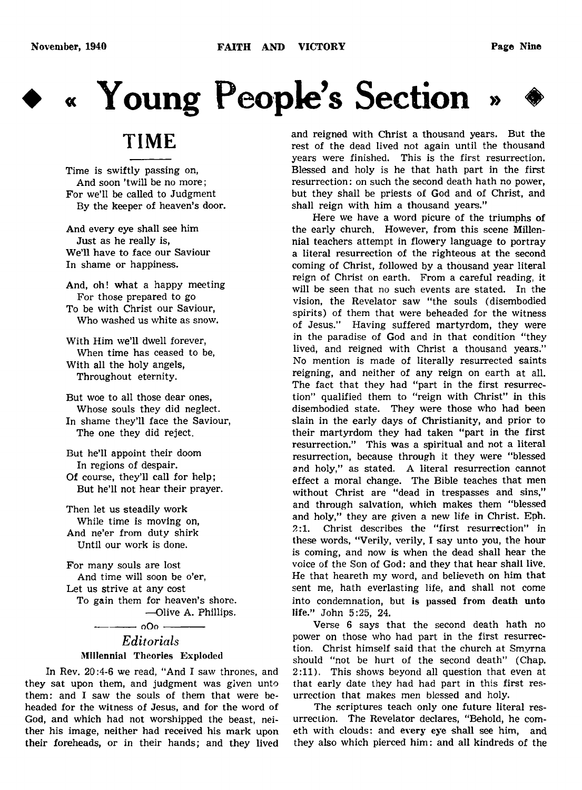

# **♦ « Young People's Section » ♦**

# TIME

Time is swiftly passing on, And soon 'twill be no more; For we'll be called to Judgment By the keeper of heaven's door.

And every eye shall see him Just as he really is, We'll have to face our Saviour In shame or happiness.

And, oh! what a happy meeting For those prepared to go To be with Christ our Saviour, Who washed us white as snow.

With Him we'll dwell forever, When time has ceased to be, With all the holy angels, Throughout eternity.

But woe to all those dear ones, Whose souls they did neglect. In shame they'll face the Saviour, The one they did reject.

But he'll appoint their doom In regions of despair. Of course, they'll call for help; But he'll not hear their prayer.

Then let us steadily work While time is moving on, And ne'er from duty shirk Until our work is done.

For many souls are lost And time will soon be o'er, Let us strive at any cost To gain them for heaven's shore. —Olive A. Phillips.

# -------------0 O 0 --------------- *Editorials* Millennial Theories Exploded

In Rev. 20:4-6 we read, " And I saw thrones, and they sat upon them, and judgment was given unto them: and I saw the souls of them that were beheaded for the witness of Jesus, and for the word of God, and which had not worshipped the beast, neither his image, neither had received his mark upon their foreheads, or in their hands; and they lived and reigned with Christ a thousand years. But the rest of the dead lived not again until the thousand years were finished. This is the first resurrection. Blessed and holy is he that hath part in the first resurrection: on such the second death hath no power, but they shall be priests of God and of Christ, and shall reign with him a thousand years."

Here we have a word picure of the triumphs of the early church. However, from this scene Millennial teachers attempt in flowery language to portray a literal resurrection of the righteous at the second coming of Christ, followed by a thousand year literal reign of Christ on earth. From a careful reading, it will be seen that no such events are stated. In the vision, the Revelator saw "the souls (disembodied spirits) of them that were beheaded for the witness of Jesus." Having suffered martyrdom, they were in the paradise of God and in that condition "they lived, and reigned with Christ a thousand years." No mention is made of literally resurrected saints reigning, and neither of any reign on earth at all. The fact that they had "part in the first resurrection" qualified them to "reign with Christ" in this disembodied state. They were those who had been slain in the early days of Christianity, and prior to their martyrdom they had taken "part in the first resurrection." This was a spiritual and not a literal resurrection, because through it they were "blessed and holy," as stated. A literal resurrection cannot effect a moral change. The Bible teaches that men without Christ are "dead in trespasses and sins," and through salvation, which makes them "blessed and holy," they are given a new life in Christ. Eph. *2:1.* Christ describes the "first resurrection" in these words, "Verily, verily, I say unto you, the hour is coming, and now is when the dead shall hear the voice of the Son of God: and they that hear shall live. He that heareth my word, and believeth on him that sent me, hath everlasting life, and shall not come into condemnation, but is passed from death unto life." John 5:25, 24.

Verse 6 says that the second death hath no power on those who had part in the first resurrection. Christ himself said that the church at Smyrna should "not be hurt of the second death" (Chap. 2:11). This shows beyond all question that even at that early date they had had part in this first resurrection that makes men blessed and holy.

The scriptures teach only one future literal resurrection. The Revelator declares, "Behold, he cometh with clouds: and every eye shall see him, and they also which pierced him: and all kindreds of the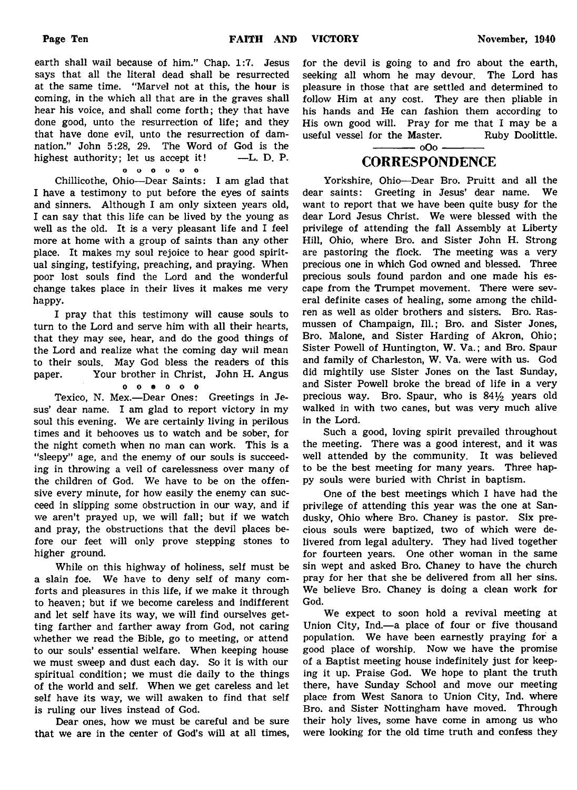earth shall wail because of him." Chap. 1:7. Jesus says that all the literal dead shall be resurrected at the same time. "Marvel not at this, the hour is coming, in the which all that are in the graves shall hear his voice, and shall come forth; they that have done good, unto the resurrection of life; and they that have done evil, unto the resurrection of damnation." John 5:28, 29. The Word of God is the highest authority; let us accept it! —L. D. P.

o o o o o o

Chillicothe, Ohio—Dear Saints: I am glad that I have a testimony to put before the eyes of saints and sinners. Although I am only sixteen years old, I can say that this life can be lived by the young as well as the old. It is a very pleasant life and I feel more at home with a group of saints than any other place. It makes my soul rejoice to hear good spiritual singing, testifying, preaching, and praying. When poor lost souls find the Lord and the wonderful change takes place in their lives it makes me very happy.

I pray that this testimony will cause souls to turn to the Lord and serve him with all their hearts, that they may see, hear, and do the good things of the Lord and realize what the coming day will mean to their souls. May God bless the readers of this paper. Your brother in Christ, John H. Angus

o o « o o o

Texico, N. Mex.—Dear Ones: Greetings in Jesus' dear name. I am glad to report victory in my soul this evening. We are certainly living in perilous times and it behooves us to watch and be sober, for the night cometh when no man can work. This is a "sleepy" age, and the enemy of our souls is succeeding in throwing a veil of carelessness over many of the children of God. We have to be on the offensive every minute, for how easily the enemy can succeed in slipping some obstruction in our way, and if we aren't prayed up, we will fall; but if we watch and pray, the obstructions that the devil places before our feet will only prove stepping stones to higher ground.

While on this highway of holiness, self must be a slain foe. We have to deny self of many comforts and pleasures in this life, if we make it through to heaven; but if we become careless and indifferent and let self have its way, we will find ourselves getting farther and farther away from God, not caring whether we read the Bible, go to meeting, or attend to our souls' essential welfare. When keeping house we must sweep and dust each day. So it is with our spiritual condition; we must die daily to the things of the world and self. When we get careless and let self have its way, we will awaken to find that self is ruling our lives instead of God.

Dear ones, how we must be careful and be sure that we are in the center of God's will at all times,

for the devil is going to and fro about the earth, seeking all whom he may devour. The Lord has pleasure in those that are settled and determined to follow Him at any cost. They are then pliable in his hands and He can fashion them according to His own good will. Pray for me that I may be a useful vessel for the Master. Ruby Doolittle.

# - 000 -**CORRESPONDENCE**

Yorkshire, Ohio—Dear Bro. Pruitt and all the dear saints: Greeting in Jesus' dear name. We want to report that we have been quite busy for the dear Lord Jesus Christ. We were blessed with the privilege of attending the fall Assembly at Liberty Hill, Ohio, where Bro. and Sister John H. Strong are pastoring the flock. The meeting was a very precious one in which God owned and blessed. Three precious souls found pardon and one made his escape from the Trumpet movement. There were several definite cases of healing, some among the children as well as older brothers and sisters. Bro. Rasmussen of Champaign, 111.; Bro. and Sister Jones, Bro. Malone, and Sister Harding of Akron, Ohio; Sister Powell of Huntington, W. Va.; and Bro. Spaur and family of Charleston, W. Va. were with us. God did mightily use Sister Jones on the last Sunday, and Sister Powell broke the bread of life in a very precious way. Bro. Spaur, who is  $84\frac{1}{2}$  years old walked in with two canes, but was very much alive in the Lord.

Such a good, loving spirit prevailed throughout the meeting. There was a good interest, and it was well attended by the community. It was believed to be the best meeting for many years. Three happy souls were buried with Christ in baptism.

One of the best meetings which I have had the privilege of attending this year was the one at Sandusky, Ohio where Bro. Chaney is pastor. Six precious souls were baptized, two of which were delivered from legal adultery. They had lived together for fourteen years. One other woman in the same sin wept and asked Bro. Chaney to have the church pray for her that she be delivered from all her sins. We believe Bro. Chaney is doing a clean work for God.

We expect to soon hold a revival meeting at Union City, Ind.—a place of four or five thousand population. We have been earnestly praying for a good place of worship. Now we have the promise of a Baptist meeting house indefinitely just for keeping it up. Praise God. We hope to plant the truth there, have Sunday School and move our meeting place from West Sanora to Union City, Ind. where Bro. and Sister Nottingham have moved. Through their holy lives, some have come in among us who were looking for the old time truth and confess they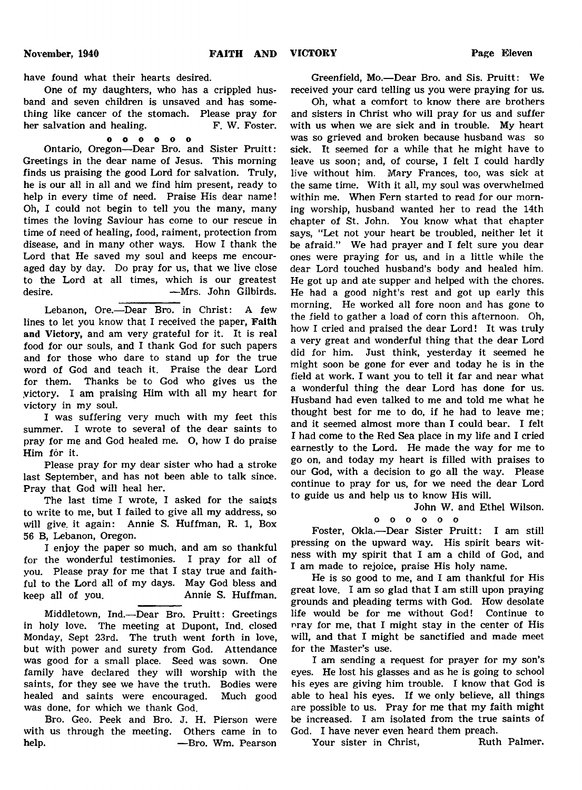have found what their hearts desired.

One of my daughters, who has a crippled husband and seven children is unsaved and has something like cancer of the stomach. Please pray for<br>her salvation and healing. F. W. Foster. her salvation and healing.

o o o o o o

Ontario, Oregon— Dear Bro. and Sister Pruitt: Greetings in the dear name of Jesus. This morning finds us praising the good Lord for salvation. Truly, he is our all in all and we find him present, ready to help in every time of need. Praise His dear name! Oh, I could not begin to tell you the many, many times the loving Saviour has come to our rescue in time of need of healing, food, raiment, protection from disease, and in many other ways. How I thank the Lord that He saved my soul and keeps me encouraged day by day. Do pray for us, that we live close to the Lord at all times, which is our greatest desire. **— Mrs. John Gilbirds.** 

Lebanon, Ore.—Dear Bro. in Christ: A few lines to let you know that I received the paper, Faith and Victory, and am very grateful for it. It is real food for our souls, and I thank God for such papers and for those who dare to stand up for the true word of God and teach it. Praise the dear Lord for them. Thanks be to God who gives us the .victory. I am praising Him with all my heart for victory in my soul.

I was suffering very much with my feet this summer. I wrote to several of the dear saints to pray for me and God healed me. O, how I do praise Him for it.

Please pray for my dear sister who had a stroke last September, and has not been able to talk since. Pray that God will heal her.

The last time I wrote, I asked for the saints to write to me, but I failed to give all my address, so will give, it again: Annie S. Huffman, R. 1, Box 56 B, Lebanon, Oregon.

I enjoy the paper so much, and am so thankful for the wonderful testimonies. I pray for all of you. Please pray for me that I stay true and faithful to the Lord all of my days. May God bless and keep all of you. Annie S. Huffman.

Middletown, Ind.—Dear Bro. Pruitt: Greetings in holy love. The meeting at Dupont, Ind. closed Monday, Sept 23rd. The truth went forth in love, but with power and surety from God. Attendance was good for a small place. Seed was sown. One family have declared they will worship with the saints, for they see we have the truth. Bodies were healed and saints were encouraged. Much good was done, for which we thank God.

Bro. Geo. Peek and Bro. J. H. Pierson were with us through the meeting. Others came in to help. — Bro. Wm. Pearson

Greenfield, Mo.— Dear Bro. and Sis. Pruitt: We received your card telling us you were praying for us.

Oh, what a comfort to know there are brothers and sisters in Christ who will pray for us and suffer with us when we are sick and in trouble. My heart was so grieved and broken because husband was so sick. It seemed for a while that he might have to leave us soon; and, of course, I felt I could hardly live without him. Mary Frances, too, was sick at the same time. With it all, my soul was overwhelmed within me. When Fern started to read for our morning worship, husband wanted her to read the 14th chapter of St. John. You know what that chapter says, "Let not your heart be troubled, neither let it be afraid." We had prayer and I felt sure you dear ones were praying for us, and in a little while the dear Lord touched husband's body and healed him. He got up and ate supper and helped with the chores. He had a good night's rest and got up early this morning. He worked all fore noon and has gone to the field to gather a load of corn this afternoon. Oh, how I cried and praised the dear Lord! It was truly a very great and wonderful thing that the dear Lord did for him. Just think, yesterday it seemed he might soon be gone for ever and today he is in the field at work. I want you to tell it far and near what a wonderful thing the dear Lord has done for us. Husband had even talked to me and told me what he thought best for me to do, if he had to leave me; and it seemed almost more than I could bear. I felt I had come to the Red Sea place in my life and I cried earnestly to the Lord. He made the way for me to go on, and today my heart is filled with praises to our God, with a decision to go all the way. Please continue to pray for us, for we need the dear Lord to guide us and help us to know His will.

John W. and Ethel Wilson,

o o o o o o

Foster, Okla.—Dear Sister Pruitt: I am still pressing on the upward way. His spirit bears witness with my spirit that I am a child of God, and I am made to rejoice, praise His holy name.

He is so good to me, and I am thankful for His great love. I am so glad that I am still upon praying grounds and pleading terms with God. How desolate life would be for me without God! Continue to nray for me, that I might stay in the center of His will, and that I might be sanctified and made meet for the Master's use.

I am sending a request for prayer for my son's eyes. He lost his glasses and as he is going to school his eyes are giving him trouble. I know that God is able to heal his eyes. If we only believe, all things are possible to us. Pray for me that my faith might be increased. I am isolated from the true saints of God. I have never even heard them preach.

Your sister in Christ, Ruth Palmer.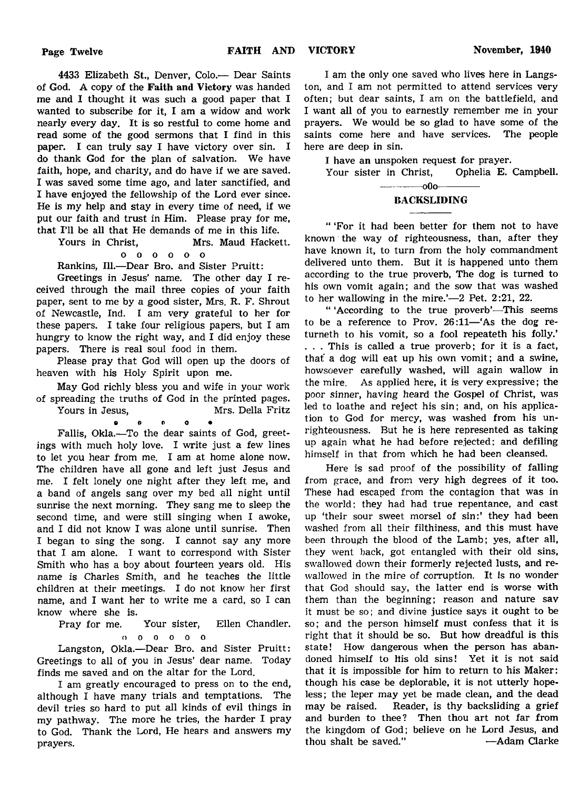4433 Elizabeth St., Denver, Colo.— Dear Saints of God. A copy of the Faith and Victory was handed me and I thought it was such a good paper that I wanted to subscribe for it, I am a widow and work nearly every day. It is so restful to come home and read some of the good sermons that I find in this paper. I can truly say I have victory over sin. I do thank God for the plan of salvation. We have faith, hope, and charity, and do have if we are saved. I was saved some time ago, and later sanctified, and I have enjoyed the fellowship of the Lord ever since. He is my help and stay in every time of need, if we put our faith and trust in Him. Please pray for me, that I'll be all that He demands of me in this life.

Yours in Christ, Mrs. Maud Hackett.

# o o o o o o

Rankins, 111.— Dear Bro. and Sister Pruitt:

Greetings in Jesus' name. The other day I received through the mail three copies of your faith paper, sent to me by a good sister, Mrs. R. F. Shrout of Newcastle, Ind. I am very grateful to her for these papers. I take four religious papers, but I am hungry to know the right way, and I did enjoy these papers. There is real soul food in them.

Please pray that God will open up the doors of heaven with his Holy Spirit upon me.

May God richly bless you and wife in your work of spreading the truths of God in the printed pages.

Yours in Jesus, Mrs. Della Fritz *9 €> t) O •*

Fallis, Okla.—To the dear saints of God, greetings with much holy love. I write just a few lines to let you hear from me. I am at home alone now. The children have all gone and left just Jesus and me. I felt lonely one night after they left me, and a band of angels sang over my bed all night until sunrise the next morning. They sang me to sleep the second time, and were still singing when I awoke, and I did not know I was alone until sunrise. Then I began to sing the song. I cannot say any more that I am alone. I want to correspond with Sister Smith who has a boy about fourteen years old. His name is Charles Smith, and he teaches the little children at their meetings. I do not know her first name, and I want her to write me a card, so I can know where she is.

Pray for me. Your sister, Ellen Chandler, o o o o o o

Langston, Okla.—Dear Bro. and Sister Pruitt: Greetings to all of you in Jesus' dear name. Today finds me saved and on the altar for the Lord.

I am greatly encouraged to press on to the end, although I have many trials and temptations. The devil tries so hard to put all kinds of evil things in my pathway. The more he tries, the harder I pray to God. Thank the Lord, He hears and answers my prayers.

I am the only one saved who lives here in Langston, and I am not permitted to attend services very often; but dear saints, I am on the battlefield, and I want all of you to earnestly remember me in your prayers. We would be so glad to have some of the saints come here and have services. The people here are deep in sin.

I have an unspoken request for prayer.<br>Your sister in Christ. Ophelia E. Campbell. Your sister in Christ,

# $-00$ o-BACKSLIDING

" 'For it had been better for them not to have known the way of righteousness, than, after they have known it, to turn from the holy commandment delivered unto them. But it is happened unto them according to the true proverb, The dog is turned to his own vomit again; and the sow that was washed to her wallowing in the mire.'— $2$  Pet.  $2:21$ , 22.

" 'According to the true proverb'—This seems to be a reference to Prov. 26:11— 'As the dog returneth to his vomit, so a fool repeateth his folly.' . . . This is called a true proverb; for it is a fact, that' a dog will eat up his own vomit; and a swine, howsoever carefully washed, will again wallow in the mire. As applied here, it is very expressive; the poor sinner, having heard the Gospel of Christ, was led to loathe and reject his sin; and, on his application to God for mercy, was washed from his unrighteousness. But he is here represented as taking up again what he had before rejected; and defiling himself in that from which he had been cleansed.

Here is sad proof of the possibility of falling from grace, and from very high degrees of it too. These had escaped from the contagion that was in the world; they had had true repentance, and cast up 'their sour sweet morsel of sin:' they had been washed from all their filthiness, and this must have been through the blood of the Lamb; yes, after all, they went back, got entangled with their old sins, swallowed down their formerly rejected lusts, and rewallowed in the mire of corruption. It Is no wonder that God should say, the latter end is worse with them than the beginning; reason and nature sav it must be so; and divine justice says it ought to be so; and the person himself must confess that it is right that it should be so. But how dreadful is this state! How dangerous when the person has abandoned himself to His old sins! Yet it is not said that it is impossible for him to return to his Maker: though his case be deplorable, it is not utterly hopeless; the leper may yet be made clean, and the dead may be raised. Reader, is thy backsliding a grief and burden to thee? Then thou art not far from the kingdom of God; believe on he Lord Jesus, and thou shalt be saved." — Adam Clarke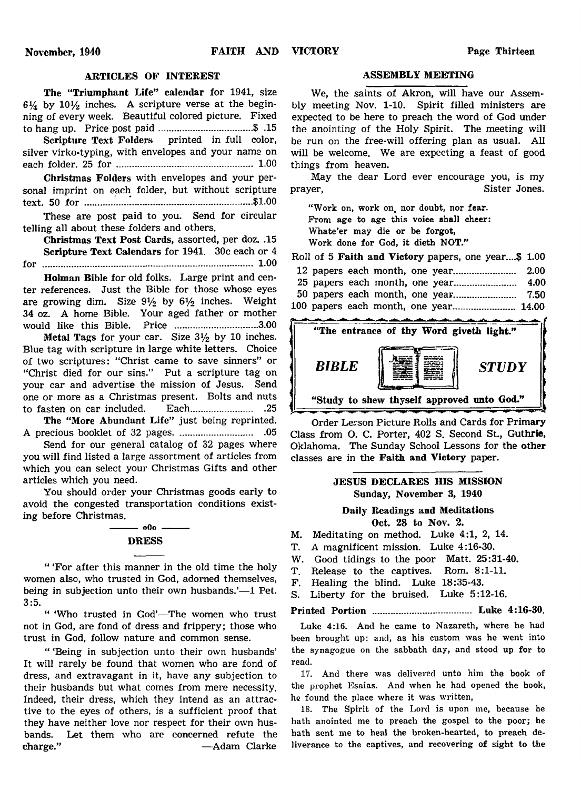# ARTICLES OF INTEREST ASSEMBLY MEETING

The "Triumphant Life" calendar for 1941, size  $6\frac{1}{4}$  by  $10\frac{1}{2}$  inches. A scripture verse at the beginning of every week. Beautiful colored picture. Fixed to hang up. Price post paid...................................\$ .15

Scripture Text Folders printed in full color, silver virko-typing, with envelopes and your name on each folder. 25 for ................................................... 1.00

Christmas Folders with envelopes and your personal imprint on each folder, but without scripture text. 50 f o r ...............................................................\$1.00

These are post paid to you. Send for circular telling all about these folders and others.

Christmas Text Post Cards, assorted, per doz. .15 Scripture Text Calendars for 1941. 30c each or 4 for ............................................................................... 1.00

Holman Bible for old folks. Large print and center references. Just the Bible for those whose eyes are growing dim. Size  $9\frac{1}{2}$  by  $6\frac{1}{2}$  inches. Weight 34 oz. A home Bible. Your aged father or mother would like this Bible. Price ............................... 3.00

Metal Tags for your car. Size  $3\frac{1}{2}$  by 10 inches. Blue tag with scripture in large white letters. Choice of two scriptures: "Christ came to save sinners" or "Christ died for our sins." Put a scripture tag on your car and advertise the mission of Jesus. Send one or more as a Christmas present. Bolts and nuts to fasten on car included. Each............................25

The "More Abundant Life" just being reprinted. A precious booklet of 32 pages...................................05

Send for our general catalog of 32 pages where you will find listed a large assortment of articles from which you can select your Christmas Gifts and other articles which you need.

You should order your Christmas goods early to avoid the congested transportation conditions existing before Christmas.

# $-000$  -**DRESS**

" 'For after this manner in the old time the holy women also, who trusted in God, adorned themselves, being in subjection unto their own husbands.'—1 Pet. 3:5.

" 'Who trusted in God'—The women who trust not in God, are fond of dress and frippery; those who trust in God, follow nature and common sense.

" 'Being in subjection unto their own husbands' It will rarely be found that women who are fond of dress, and extravagant in it, have any subjection to their husbands but what comes from mere necessity. Indeed, their dress, which they intend as an attractive to the eyes of others, is a sufficient proof that they have neither love nor respect for their own husbands. Let them who are concerned refute the charge." — Adam Clarke

We, the saints of Akron, will have our Assembly meeting Nov. 1-10. Spirit filled ministers are expected to be here to preach the word of God under the anointing of the Holy Spirit. The meeting will be run on the free-will offering plan as usual. All will be welcome. We are expecting a feast of good things from heaven.

May the dear Lord ever encourage you, is my prayer, Sister Jones.

"Work on, work on nor doubt, nor fear. From age to age this voice shall cheer: Whate'er may die or be forgot, Work done for God, it dieth NOT."

Roll of 5 Faith and Victory papers, one year....\$ 1.00

|  |  | 100 papers each month, one year 14.00 |  |
|--|--|---------------------------------------|--|



Order Lerson Picture Rolls and Cards for Primary Class from O. C. Porter, 402 S. Second St., Guthrie, Oklahoma. The Sunday School Lessons for the other classes are in the Faith and Victory paper.

# JESUS DECLARES HIS MISSION Sunday, November 3, 1940

Daily Readings and Meditations Oct. 28 to Nov. 2.

- M. Meditating on method. Luke 4:1, 2, 14.
- T. A magnificent mission. Luke 4:16-30.
- W. Good tidings to the poor Matt. 25:31-40.
- T. Release to the captives. Rom. 8:1-11.
- F. Healing the blind. Luke 18:35-43.
- S. Liberty for the bruised. Luke 5:12-16.

Printed Portion ..................................... Luke 4:16-30.

Luke 4:16. And he came to Nazareth, where he had been brought up: and, as his custom was he went into the synagogue on the sabbath day, and stood up for to read.

17. And there was delivered unto him the book of the prophet Esaias. And when he had opened the book, he found the place where it was written,

18. The Spirit of the Lord is upon me, because he hath anointed me to preach the gospel to the poor; he hath sent me to heal the broken-hearted, to preach deliverance to the captives, and recovering of sight to the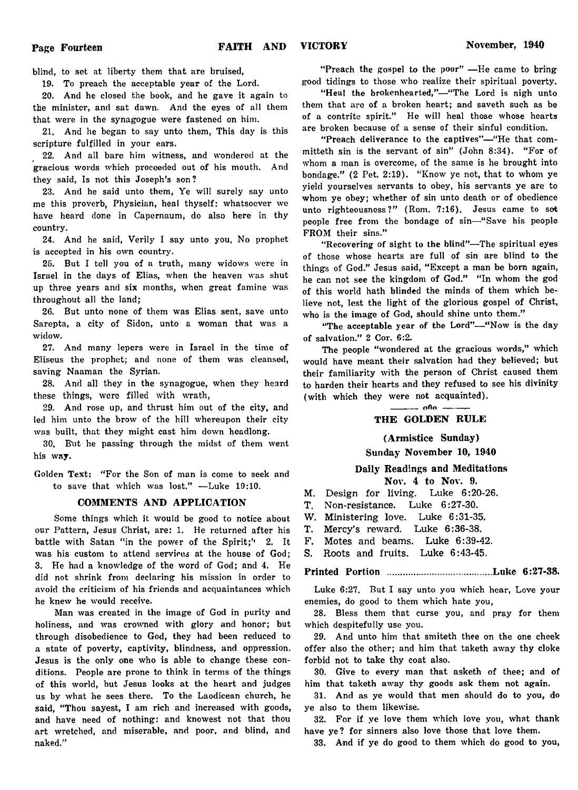blind, to set at liberty them that are bruised,

19. To preach the acceptable year of the Lord.

20. And he closed the book, and he gave it again to the minister, and sat dawn. And the eyes of all them that were in the synagogue were fastened on him.

21. And he began to say unto them, This day is this scripture fulfilled in your ears.

22. And all bare him witness, and wondered at the gracious words which proceeded out of his mouth. And they said, Is not this Joseph's son?

23. And he said unto them, Ye will surely say unto me this proverb, Physician, heal thyself: whatsoever we have heard done in Capernaum, do also here in thy country.

24. And he said, Verily I say unto you, No prophet is accepted in his own country.

25. But I tell you of a truth, many widows were in Israel in the days of Elias, when the heaven was shut up three years and six months, when great famine was throughout all the land;

26. But unto none of them was Elias sent, save unto Sarepta, a city of Sidon, unto a woman that was a widow.

27. And many lepers were in Israel in the time of Eliseus the prophet; and none of them was cleansed, saving Naaman the Syrian.

28. And all they in the synagogue, when they heard these things, were filled with wrath,

29. And rose up, and thrust him out of the city, and led him unto the brow of the hill whereupon their city was built, that they might cast him down headlong.

30. But he passing through the midst of them went his way.

Golden Text: "For the Son of man is come to seek and to save that which was lost." — Luke 19:10.

#### COMMENTS AND APPLICATION

Some things which it would be good to notice about our Pattern, Jesus Christ, are: 1. He returned after his battle with Satan "in the power of the Spirit;" 2. It was his custom to attend services at the house of God; 3. He had a knowledge of the word of God; and 4. He did not shrink from declaring his mission in order to avoid the criticism of his friends and acquaintances which he knew he would receive.

Man was created in the image of God in purity and holiness, and was crowned with glory and honor; but through disobedience to God, they had been reduced to a state of poverty, captivity, blindness, and oppression. Jesus is the only one who is able to change these conditions. People are prone to think in terms of the things of this world, but Jesus looks at the heart and judges us by what he sees there. To the Laodicean church, he said, "Thou sayest, I am rich and increased with goods, and have need of nothing: and knowest not that thou art wretched, and miserable, and poor, and blind, and naked."

"Preach the gospel to the poor" — He came to bring good tidings to those who realize their spiritual poverty.

"Heal the brokenhearted,"—"The Lord is nigh unto them that are of a broken heart; and saveth such as be of a contrite spirit." He will heal those whose hearts are broken because of a sense of their sinful condition.

" Preach deliverance to the captives"— " He that committeth sin is the servant of sin" (John 8:34). " For of whom a man is overcome, of the same is he brought into bondage." (2 Pet. 2:19). "Know ye not, that to whom ye yield yourselves servants to obey, his servants ye are to whom ye obey; whether of sin unto death or of obedience unto righteousness?" (Rom. 7:16). Jesus came to sot people free from the bondage of sin—" Save his people FROM their sins."

" Recovering of sight to the blind"—The spiritual eyes of those whose hearts are full of sin are blind to the things of God." Jesus said, "Except a man be born again, he can not see the kingdom of God." "In whom the god of this world hath blinded the minds of them which believe not, lest the light of the glorious gospel of Christ, who is the image of God, should shine unto them."

"The acceptable year of the Lord"-"Now is the day of salvation." 2 Cor. 6:2.

The people "wondered at the gracious words," which would have meant their salvation had they believed; but their familiarity with the person of Christ caused them to harden their hearts and they refused to see his divinity (with which they were not acquainted).

-------- nOo--------

# THE GOLDEN RULE

#### (Armistice Sunday)

# Sunday November 10, 1940

#### Daily Readings and Meditations

Nov. 4 to Nov. 9.

- M. Design for living. Luke 6:20-26.
- T. Non-resistance. Luke 6:27-30.
- W. Ministering love. Luke 6:31-35.
- T. Mercy's reward. Luke 6:36-38.
- F. Motes and beams. Luke 6:39-42.
- S. Roots and fruits. Luke 6:43-45.

#### Printed Portion .......................................Luke 6:27-38.

Luke 6:27. But I say unto you which hear, Love your enemies, do good to them which hate you,

28. Bless them that curse you, and pray for them which despitefully use you.

29. And unto him that smiteth thee on the one cheek offer also the other; and him that taketh away thy cloke forbid not to take thy coat also.

30. Give to every man that asketh of thee; and of him that taketh away thy goods ask them not again.

31. And as ye would that men should do to you, do ye also to them likewise.

32. For if ye love them which love you, what thank have ye? for sinners also love those that love them.

33. And if ye do good to them which do good to you,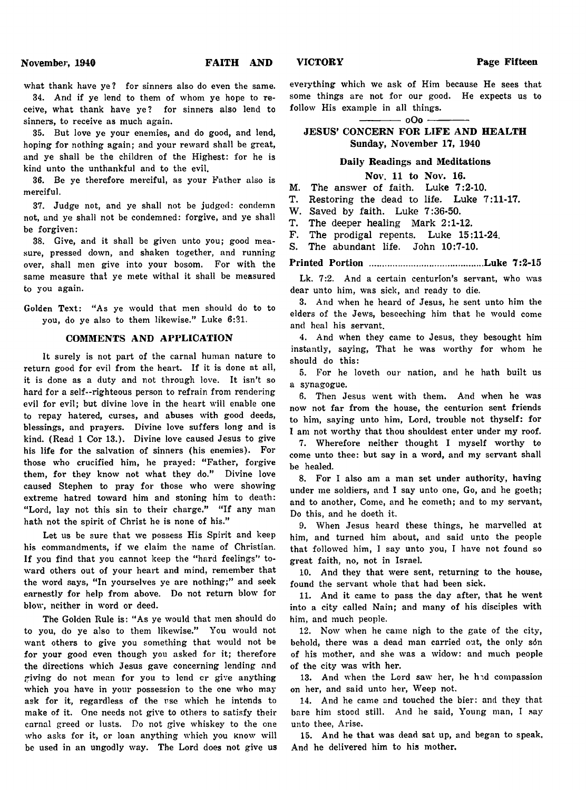what thank have ye? for sinners also do even the same.

34. And if ye lend to them of whom ye hope to receive, what thank have ye? for sinners also lend to sinners, to receive as much again.

35. But love ye your enemies, and do good, and lend, hoping for nothing again; and your reward shall be great, and ye shall be the children of the Highest: for he is kind unto the unthankful and to the evil.

36. Be ye therefore merciful, as your Father also is merciful.

37. Judge not, and ye shall not be judged: condemn not, and ye shall not be condemned: forgive, and ye shall be forgiven:

38. Give, and it shall be given unto you; good measure, pressed down, and shaken together, and running over, shall men give into your bosom. For with the same measure that ye mete withal it shall be measured to you again.

Golden Text: "As ye would that men should do to to you, do ye also to them likewise." Luke 6:31.

#### COMMENTS AND APPLICATION

It surely is not part of the carnal human nature to return good for evil from the heart. If it is done at all, it is done as a duty and not through love. It isn't so hard for a self-righteous person to refrain from rendering evil for evil; but divine love in the heart will enable one to repay hatered, curses, and abuses with good deeds, blessings, and prayers. Divine love suffers long and is kind. (Read 1 Cor 13.). Divine love caused Jesus to give his life for the salvation of sinners (his enemies). For those who crucified him, he prayed: "Father, forgive them, for they know not what they do." Divine love caused Stephen to pray for those who were showing extreme hatred toward him and stoning him to death: "Lord, lay not this sin to their charge." "If any man hath not the spirit of Christ he is none of his."

Let us be sure that we possess His Spirit and keep his commandments, if we claim the name of Christian. If you find that you cannot keep the "hard feelings" toward others out of your heart and mind, remember that the word says, "In yourselves ye are nothing;" and seek earnestly for help from above. Do not return blow for blow, neither in word or deed.

The Golden Rule is: " As ye would that men should do to you, do ye also to them likewise." You would not want others to give you something that would not be for your good even though you asked for it; therefore the directions which Jesus gave concerning lending and giving do not mean for you to lend cr give anything which you have in your possession to the one who may ask for it, regardless of the use which he intends to make of it. One needs not give to others to satisfy their carnal greed or lusts. Do not give whiskey to the one who asks for it, or loan anything which you know will be used in an ungodly way. The Lord does not give us

everything which we ask of Him because He sees that some things are not for our good. He expects us to follow His example in all things.

-- o Oo --

# JESUS' CONCERN FOR LIFE AND HEALTH Sunday, November 17, 1940

#### Daily Readings and Meditations

#### Nov. 11 to Nov. 16.

M. The answer of faith. Luke 7:2-10.

T. Restoring the dead to life. Luke 7:11-17.

W. Saved by faith. Luke 7:36-50.

T. The deeper healing Mark 2:1-12.

F. The prodigal repents. Luke 15:11-24.

S. The abundant life. John 10:7-10.

Printed Portion ...........................................Luke 7:2-15

Lk. 7:2. And a certain centurion's servant, who was dear unto him, was sick, and ready to die.

3. And when he heard of Jesus, he sent unto him the elders of the Jews, beseeching him that he would come and heal his servant.

4. And when they came to Jesus, they besought him instantly, saying, That he was worthy for whom he should do this:

5. For he loveth our nation, and he hath built us a synagogue.

6. Then Jesus went with them. And when he was now not far from the house, the centurion sent friends to him, saying unto him, Lord, trouble not thyself: for I am not worthy that thou shouldest enter under my roof.

7. Wherefore neither thought I myself worthy to come unto thee: but say in a word, and my servant shall be healed.

8. For I also am a man set under authority, having under me soldiers, and I say unto one, Go, and he goeth; and to another, Come, and he cometh; and to my servant, Do this, and he doeth it.

9. When Jesus heard these things, he marvelled at him, and turned him about, and said unto the people that followed him, I say unto you, I have not found so great faith, no, not in Israel.

10. And they that were sent, returning to the house, found the servant whole that had been sick.

11. And it came to pass the day after, that he went into a city called Nain; and many of his disciples with him, and much people.

12. Now when he came nigh to the gate of the city, behold, there was a dead man carried out, the only son of his mother, and she was a widow: and much people of the city was with her.

13. And when the Lord saw her, he hid compassion on her, and said unto her, Weep not.

14. And he came and touched the bier: and they that bare him stood still. And he said, Young man, I say unto thee, Arise.

15. And he that was dead sat up, and began to speak. And he delivered him to his mother.